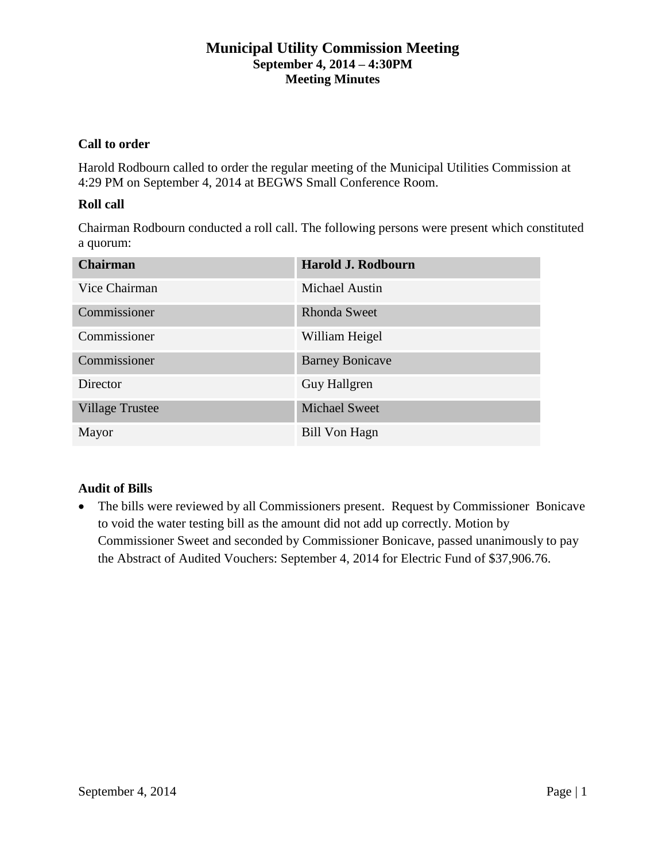# **Municipal Utility Commission Meeting September 4, 2014 – 4:30PM Meeting Minutes**

## **Call to order**

Harold Rodbourn called to order the regular meeting of the Municipal Utilities Commission at 4:29 PM on September 4, 2014 at BEGWS Small Conference Room.

## **Roll call**

Chairman Rodbourn conducted a roll call. The following persons were present which constituted a quorum:

| <b>Chairman</b>        | Harold J. Rodbourn     |
|------------------------|------------------------|
| Vice Chairman          | Michael Austin         |
| Commissioner           | <b>Rhonda Sweet</b>    |
| Commissioner           | William Heigel         |
| Commissioner           | <b>Barney Bonicave</b> |
| Director               | Guy Hallgren           |
| <b>Village Trustee</b> | <b>Michael Sweet</b>   |
| Mayor                  | Bill Von Hagn          |

## **Audit of Bills**

• The bills were reviewed by all Commissioners present. Request by Commissioner Bonicave to void the water testing bill as the amount did not add up correctly. Motion by Commissioner Sweet and seconded by Commissioner Bonicave, passed unanimously to pay the Abstract of Audited Vouchers: September 4, 2014 for Electric Fund of \$37,906.76.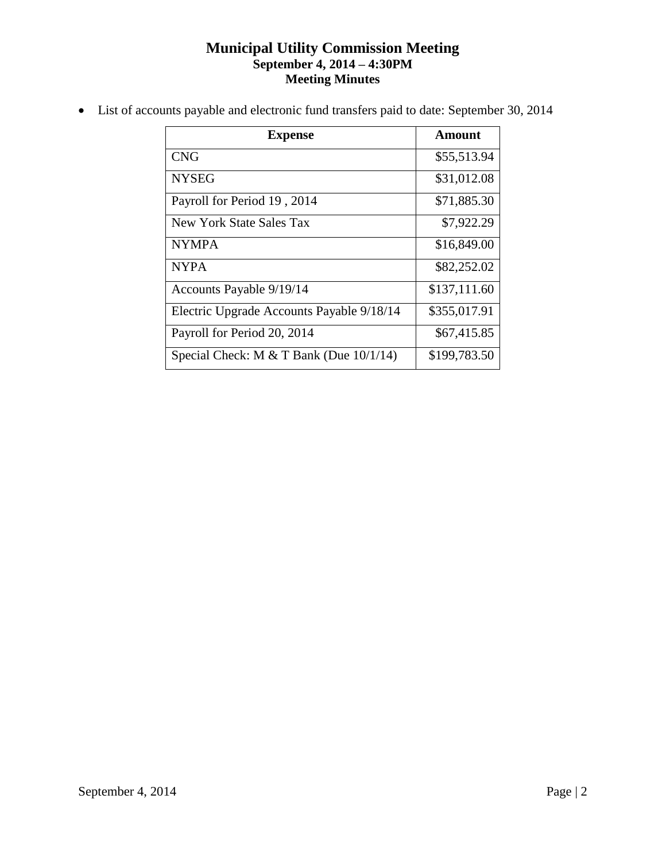# **Municipal Utility Commission Meeting September 4, 2014 – 4:30PM Meeting Minutes**

List of accounts payable and electronic fund transfers paid to date: September 30, 2014

| <b>Expense</b>                            | Amount       |
|-------------------------------------------|--------------|
| <b>CNG</b>                                | \$55,513.94  |
| <b>NYSEG</b>                              | \$31,012.08  |
| Payroll for Period 19, 2014               | \$71,885.30  |
| New York State Sales Tax                  | \$7,922.29   |
| <b>NYMPA</b>                              | \$16,849.00  |
| <b>NYPA</b>                               | \$82,252.02  |
| Accounts Payable 9/19/14                  | \$137,111.60 |
| Electric Upgrade Accounts Payable 9/18/14 | \$355,017.91 |
| Payroll for Period 20, 2014               | \$67,415.85  |
| Special Check: M $&$ T Bank (Due 10/1/14) | \$199,783.50 |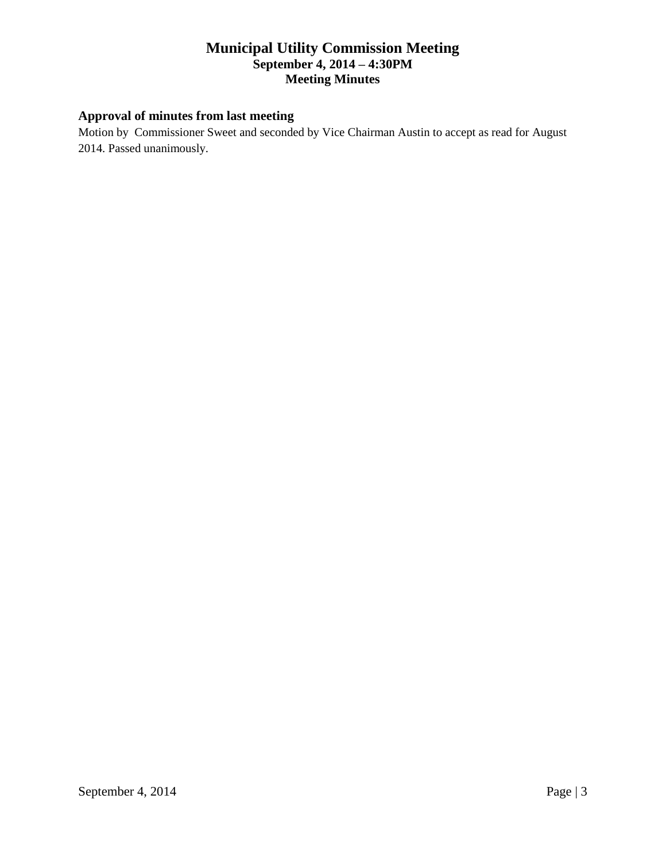# **Municipal Utility Commission Meeting September 4, 2014 – 4:30PM Meeting Minutes**

# **Approval of minutes from last meeting**

Motion by Commissioner Sweet and seconded by Vice Chairman Austin to accept as read for August 2014. Passed unanimously.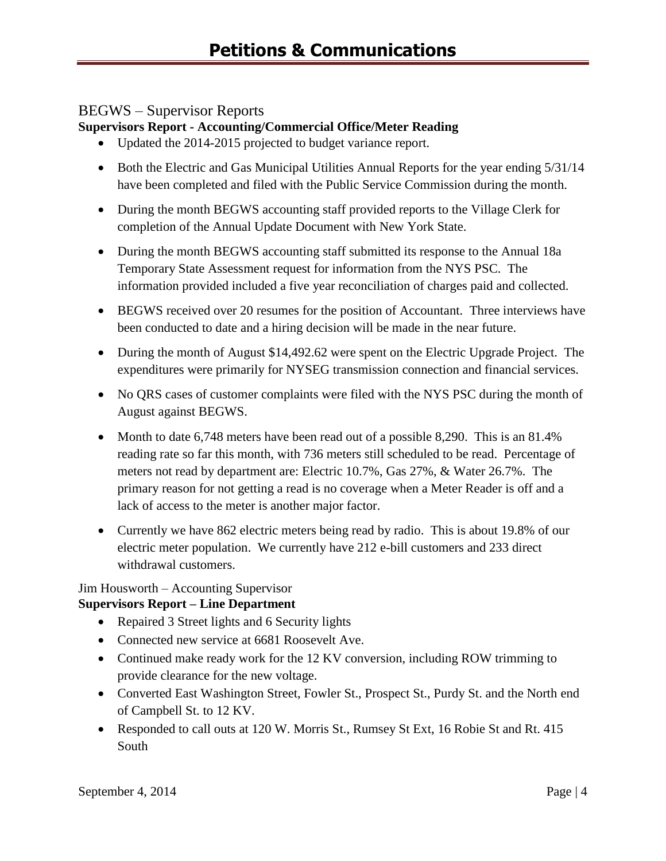# BEGWS – Supervisor Reports

## **Supervisors Report - Accounting/Commercial Office/Meter Reading**

- Updated the 2014-2015 projected to budget variance report.
- Both the Electric and Gas Municipal Utilities Annual Reports for the year ending  $5/31/14$ have been completed and filed with the Public Service Commission during the month.
- During the month BEGWS accounting staff provided reports to the Village Clerk for completion of the Annual Update Document with New York State.
- During the month BEGWS accounting staff submitted its response to the Annual 18a Temporary State Assessment request for information from the NYS PSC. The information provided included a five year reconciliation of charges paid and collected.
- BEGWS received over 20 resumes for the position of Accountant. Three interviews have been conducted to date and a hiring decision will be made in the near future.
- During the month of August \$14,492.62 were spent on the Electric Upgrade Project. The expenditures were primarily for NYSEG transmission connection and financial services.
- No QRS cases of customer complaints were filed with the NYS PSC during the month of August against BEGWS.
- Month to date 6,748 meters have been read out of a possible 8,290. This is an 81.4% reading rate so far this month, with 736 meters still scheduled to be read. Percentage of meters not read by department are: Electric 10.7%, Gas 27%, & Water 26.7%. The primary reason for not getting a read is no coverage when a Meter Reader is off and a lack of access to the meter is another major factor.
- Currently we have 862 electric meters being read by radio. This is about 19.8% of our electric meter population. We currently have 212 e-bill customers and 233 direct withdrawal customers.

# Jim Housworth – Accounting Supervisor

## **Supervisors Report – Line Department**

- Repaired 3 Street lights and 6 Security lights
- Connected new service at 6681 Roosevelt Ave.
- Continued make ready work for the 12 KV conversion, including ROW trimming to provide clearance for the new voltage.
- Converted East Washington Street, Fowler St., Prospect St., Purdy St. and the North end of Campbell St. to 12 KV.
- Responded to call outs at 120 W. Morris St., Rumsey St Ext, 16 Robie St and Rt. 415 South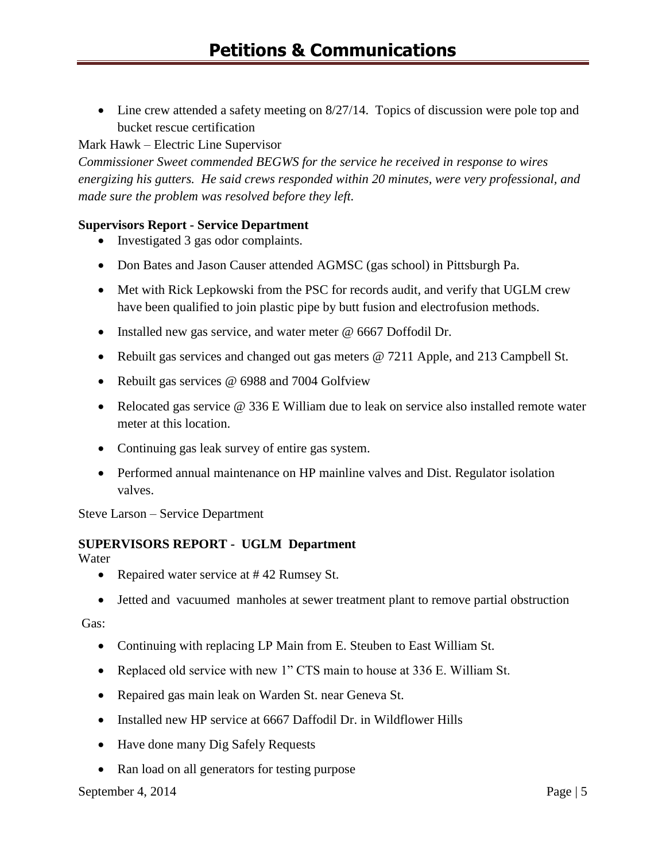• Line crew attended a safety meeting on 8/27/14. Topics of discussion were pole top and bucket rescue certification

## Mark Hawk – Electric Line Supervisor

*Commissioner Sweet commended BEGWS for the service he received in response to wires energizing his gutters. He said crews responded within 20 minutes, were very professional, and made sure the problem was resolved before they left.*

## **Supervisors Report - Service Department**

- Investigated 3 gas odor complaints.
- Don Bates and Jason Causer attended AGMSC (gas school) in Pittsburgh Pa.
- Met with Rick Lepkowski from the PSC for records audit, and verify that UGLM crew have been qualified to join plastic pipe by butt fusion and electrofusion methods.
- Installed new gas service, and water meter @ 6667 Doffodil Dr.
- Rebuilt gas services and changed out gas meters @ 7211 Apple, and 213 Campbell St.
- Rebuilt gas services @ 6988 and 7004 Golfview
- Relocated gas service @ 336 E William due to leak on service also installed remote water meter at this location.
- Continuing gas leak survey of entire gas system.
- Performed annual maintenance on HP mainline valves and Dist. Regulator isolation valves.

Steve Larson – Service Department

## **SUPERVISORS REPORT - UGLM Department**

Water

- Repaired water service at #42 Rumsey St.
- Jetted and vacuumed manholes at sewer treatment plant to remove partial obstruction

Gas:

- Continuing with replacing LP Main from E. Steuben to East William St.
- Replaced old service with new 1" CTS main to house at 336 E. William St.
- Repaired gas main leak on Warden St. near Geneva St.
- Installed new HP service at 6667 Daffodil Dr. in Wildflower Hills
- Have done many Dig Safely Requests
- Ran load on all generators for testing purpose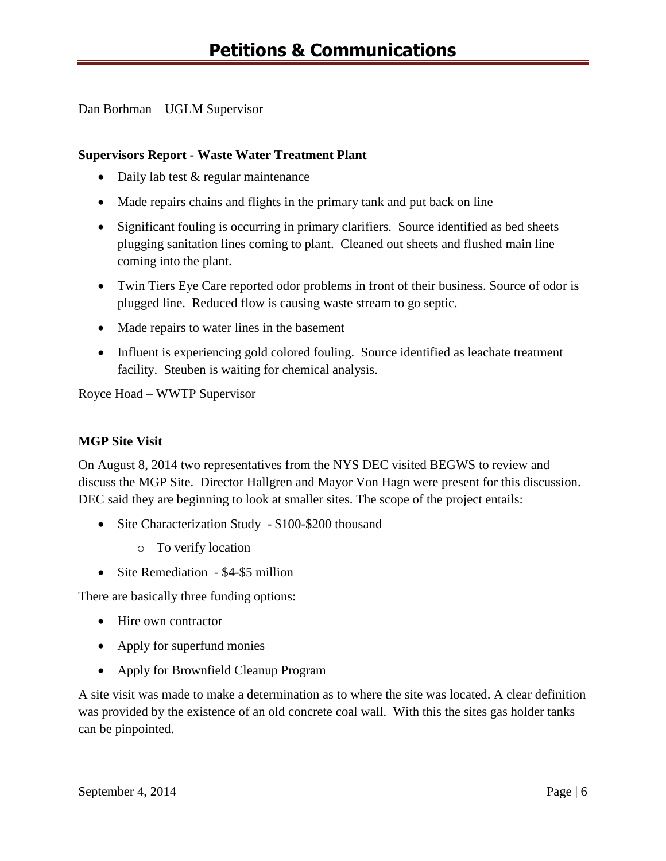Dan Borhman – UGLM Supervisor

## **Supervisors Report - Waste Water Treatment Plant**

- Daily lab test & regular maintenance
- Made repairs chains and flights in the primary tank and put back on line
- Significant fouling is occurring in primary clarifiers. Source identified as bed sheets plugging sanitation lines coming to plant. Cleaned out sheets and flushed main line coming into the plant.
- Twin Tiers Eye Care reported odor problems in front of their business. Source of odor is plugged line. Reduced flow is causing waste stream to go septic.
- Made repairs to water lines in the basement
- Influent is experiencing gold colored fouling. Source identified as leachate treatment facility. Steuben is waiting for chemical analysis.

Royce Hoad – WWTP Supervisor

## **MGP Site Visit**

On August 8, 2014 two representatives from the NYS DEC visited BEGWS to review and discuss the MGP Site. Director Hallgren and Mayor Von Hagn were present for this discussion. DEC said they are beginning to look at smaller sites. The scope of the project entails:

- Site Characterization Study \$100-\$200 thousand
	- o To verify location
- Site Remediation \$4-\$5 million

There are basically three funding options:

- Hire own contractor
- Apply for superfund monies
- Apply for Brownfield Cleanup Program

A site visit was made to make a determination as to where the site was located. A clear definition was provided by the existence of an old concrete coal wall. With this the sites gas holder tanks can be pinpointed.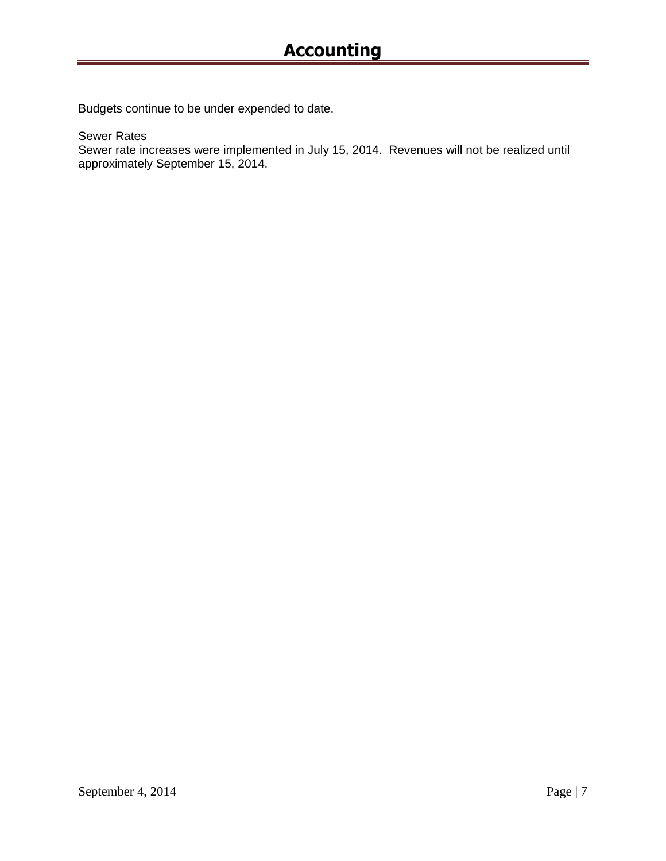Budgets continue to be under expended to date.

Sewer Rates

Sewer rate increases were implemented in July 15, 2014. Revenues will not be realized until approximately September 15, 2014.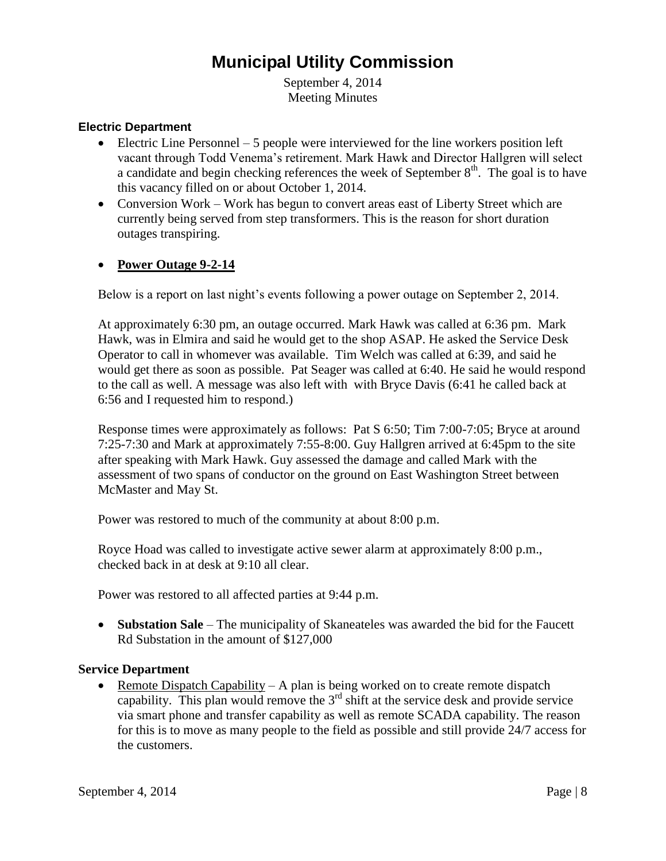# **Municipal Utility Commission**

September 4, 2014 Meeting Minutes

#### **Electric Department**

- $\bullet$  Electric Line Personnel 5 people were interviewed for the line workers position left vacant through Todd Venema's retirement. Mark Hawk and Director Hallgren will select a candidate and begin checking references the week of September  $8<sup>th</sup>$ . The goal is to have this vacancy filled on or about October 1, 2014.
- Conversion Work Work has begun to convert areas east of Liberty Street which are currently being served from step transformers. This is the reason for short duration outages transpiring.

#### **Power Outage 9-2-14**

Below is a report on last night's events following a power outage on September 2, 2014.

At approximately 6:30 pm, an outage occurred. Mark Hawk was called at 6:36 pm. Mark Hawk, was in Elmira and said he would get to the shop ASAP. He asked the Service Desk Operator to call in whomever was available. Tim Welch was called at 6:39, and said he would get there as soon as possible. Pat Seager was called at 6:40. He said he would respond to the call as well. A message was also left with with Bryce Davis (6:41 he called back at 6:56 and I requested him to respond.)

Response times were approximately as follows: Pat S 6:50; Tim 7:00-7:05; Bryce at around 7:25-7:30 and Mark at approximately 7:55-8:00. Guy Hallgren arrived at 6:45pm to the site after speaking with Mark Hawk. Guy assessed the damage and called Mark with the assessment of two spans of conductor on the ground on East Washington Street between McMaster and May St.

Power was restored to much of the community at about 8:00 p.m.

Royce Hoad was called to investigate active sewer alarm at approximately 8:00 p.m., checked back in at desk at 9:10 all clear.

Power was restored to all affected parties at 9:44 p.m.

 **Substation Sale** – The municipality of Skaneateles was awarded the bid for the Faucett Rd Substation in the amount of \$127,000

#### **Service Department**

• Remote Dispatch Capability – A plan is being worked on to create remote dispatch capability. This plan would remove the  $3<sup>rd</sup>$  shift at the service desk and provide service via smart phone and transfer capability as well as remote SCADA capability. The reason for this is to move as many people to the field as possible and still provide 24/7 access for the customers.